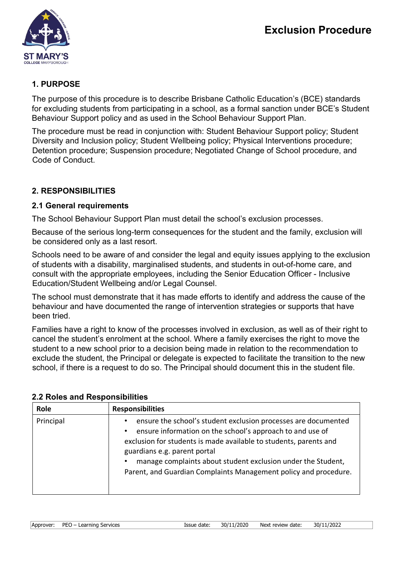

# **1. PURPOSE**

The purpose of this procedure is to describe Brisbane Catholic Education's (BCE) standards for excluding students from participating in a school, as a formal sanction under BCE's Student Behaviour Support policy and as used in the School Behaviour Support Plan.

The procedure must be read in conjunction with: Student Behaviour Support policy; Student Diversity and Inclusion policy; Student Wellbeing policy; Physical Interventions procedure; Detention procedure; Suspension procedure; Negotiated Change of School procedure, and Code of Conduct.

# **2. RESPONSIBILITIES**

### **2.1 General requirements**

The School Behaviour Support Plan must detail the school's exclusion processes.

Because of the serious long-term consequences for the student and the family, exclusion will be considered only as a last resort.

Schools need to be aware of and consider the legal and equity issues applying to the exclusion of students with a disability, marginalised students, and students in out-of-home care, and consult with the appropriate employees, including the Senior Education Officer - Inclusive Education/Student Wellbeing and/or Legal Counsel.

The school must demonstrate that it has made efforts to identify and address the cause of the behaviour and have documented the range of intervention strategies or supports that have been tried.

Families have a right to know of the processes involved in exclusion, as well as of their right to cancel the student's enrolment at the school. Where a family exercises the right to move the student to a new school prior to a decision being made in relation to the recommendation to exclude the student, the Principal or delegate is expected to facilitate the transition to the new school, if there is a request to do so. The Principal should document this in the student file.

| Role      | <b>Responsibilities</b>                                                                                                                                                                                                                                                                                                                                                           |
|-----------|-----------------------------------------------------------------------------------------------------------------------------------------------------------------------------------------------------------------------------------------------------------------------------------------------------------------------------------------------------------------------------------|
| Principal | ensure the school's student exclusion processes are documented<br>ensure information on the school's approach to and use of<br>$\bullet$<br>exclusion for students is made available to students, parents and<br>guardians e.g. parent portal<br>manage complaints about student exclusion under the Student,<br>Parent, and Guardian Complaints Management policy and procedure. |

### **2.2 Roles and Responsibilities**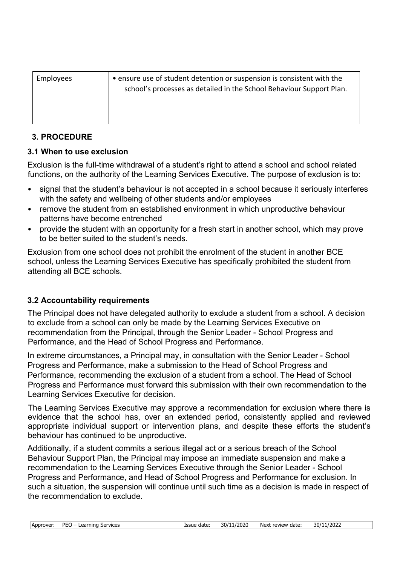| Employees | • ensure use of student detention or suspension is consistent with the<br>school's processes as detailed in the School Behaviour Support Plan. |
|-----------|------------------------------------------------------------------------------------------------------------------------------------------------|
|           |                                                                                                                                                |

### **3. PROCEDURE**

### **3.1 When to use exclusion**

Exclusion is the full-time withdrawal of a student's right to attend a school and school related functions, on the authority of the Learning Services Executive. The purpose of exclusion is to:

- signal that the student's behaviour is not accepted in a school because it seriously interferes with the safety and wellbeing of other students and/or employees
- remove the student from an established environment in which unproductive behaviour patterns have become entrenched
- provide the student with an opportunity for a fresh start in another school, which may prove to be better suited to the student's needs.

Exclusion from one school does not prohibit the enrolment of the student in another BCE school, unless the Learning Services Executive has specifically prohibited the student from attending all BCE schools.

# **3.2 Accountability requirements**

The Principal does not have delegated authority to exclude a student from a school. A decision to exclude from a school can only be made by the Learning Services Executive on recommendation from the Principal, through the Senior Leader - School Progress and Performance, and the Head of School Progress and Performance.

In extreme circumstances, a Principal may, in consultation with the Senior Leader - School Progress and Performance, make a submission to the Head of School Progress and Performance, recommending the exclusion of a student from a school. The Head of School Progress and Performance must forward this submission with their own recommendation to the Learning Services Executive for decision.

The Learning Services Executive may approve a recommendation for exclusion where there is evidence that the school has, over an extended period, consistently applied and reviewed appropriate individual support or intervention plans, and despite these efforts the student's behaviour has continued to be unproductive.

Additionally, if a student commits a serious illegal act or a serious breach of the School Behaviour Support Plan, the Principal may impose an immediate suspension and make a recommendation to the Learning Services Executive through the Senior Leader - School Progress and Performance, and Head of School Progress and Performance for exclusion. In such a situation, the suspension will continue until such time as a decision is made in respect of the recommendation to exclude.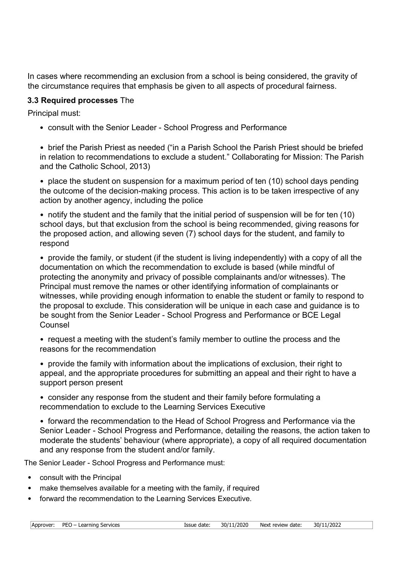In cases where recommending an exclusion from a school is being considered, the gravity of the circumstance requires that emphasis be given to all aspects of procedural fairness.

### **3.3 Required processes** The

Principal must:

• consult with the Senior Leader - School Progress and Performance

• brief the Parish Priest as needed ("in a Parish School the Parish Priest should be briefed in relation to recommendations to exclude a student." Collaborating for Mission: The Parish and the Catholic School, 2013)

• place the student on suspension for a maximum period of ten (10) school days pending the outcome of the decision-making process. This action is to be taken irrespective of any action by another agency, including the police

• notify the student and the family that the initial period of suspension will be for ten (10) school days, but that exclusion from the school is being recommended, giving reasons for the proposed action, and allowing seven (7) school days for the student, and family to respond

• provide the family, or student (if the student is living independently) with a copy of all the documentation on which the recommendation to exclude is based (while mindful of protecting the anonymity and privacy of possible complainants and/or witnesses). The Principal must remove the names or other identifying information of complainants or witnesses, while providing enough information to enable the student or family to respond to the proposal to exclude. This consideration will be unique in each case and guidance is to be sought from the Senior Leader - School Progress and Performance or BCE Legal Counsel

• request a meeting with the student's family member to outline the process and the reasons for the recommendation

• provide the family with information about the implications of exclusion, their right to appeal, and the appropriate procedures for submitting an appeal and their right to have a support person present

• consider any response from the student and their family before formulating a recommendation to exclude to the Learning Services Executive

• forward the recommendation to the Head of School Progress and Performance via the Senior Leader - School Progress and Performance, detailing the reasons, the action taken to moderate the students' behaviour (where appropriate), a copy of all required documentation and any response from the student and/or family.

The Senior Leader - School Progress and Performance must:

- consult with the Principal
- make themselves available for a meeting with the family, if required
- forward the recommendation to the Learning Services Executive.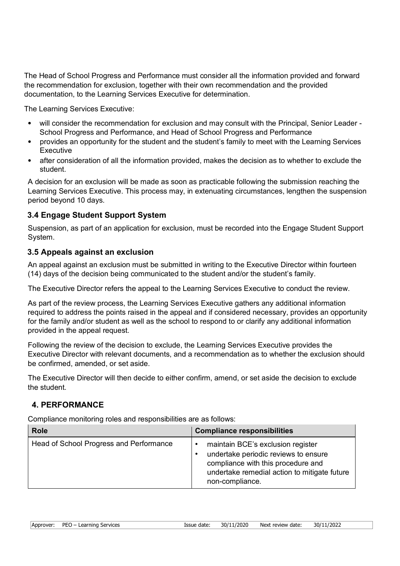The Head of School Progress and Performance must consider all the information provided and forward the recommendation for exclusion, together with their own recommendation and the provided documentation, to the Learning Services Executive for determination.

The Learning Services Executive:

- will consider the recommendation for exclusion and may consult with the Principal, Senior Leader School Progress and Performance, and Head of School Progress and Performance
- provides an opportunity for the student and the student's family to meet with the Learning Services Executive
- after consideration of all the information provided, makes the decision as to whether to exclude the student.

A decision for an exclusion will be made as soon as practicable following the submission reaching the Learning Services Executive. This process may, in extenuating circumstances, lengthen the suspension period beyond 10 days.

### **3.4 Engage Student Support System**

Suspension, as part of an application for exclusion, must be recorded into the Engage Student Support System.

#### **3.5 Appeals against an exclusion**

An appeal against an exclusion must be submitted in writing to the Executive Director within fourteen (14) days of the decision being communicated to the student and/or the student's family.

The Executive Director refers the appeal to the Learning Services Executive to conduct the review.

As part of the review process, the Learning Services Executive gathers any additional information required to address the points raised in the appeal and if considered necessary, provides an opportunity for the family and/or student as well as the school to respond to or clarify any additional information provided in the appeal request.

Following the review of the decision to exclude, the Learning Services Executive provides the Executive Director with relevant documents, and a recommendation as to whether the exclusion should be confirmed, amended, or set aside.

The Executive Director will then decide to either confirm, amend, or set aside the decision to exclude the student.

### **4. PERFORMANCE**

Compliance monitoring roles and responsibilities are as follows:

| <b>Role</b>                             | <b>Compliance responsibilities</b>                                                                                                                                                              |
|-----------------------------------------|-------------------------------------------------------------------------------------------------------------------------------------------------------------------------------------------------|
| Head of School Progress and Performance | maintain BCE's exclusion register<br>$\bullet$<br>undertake periodic reviews to ensure<br>compliance with this procedure and<br>undertake remedial action to mitigate future<br>non-compliance. |